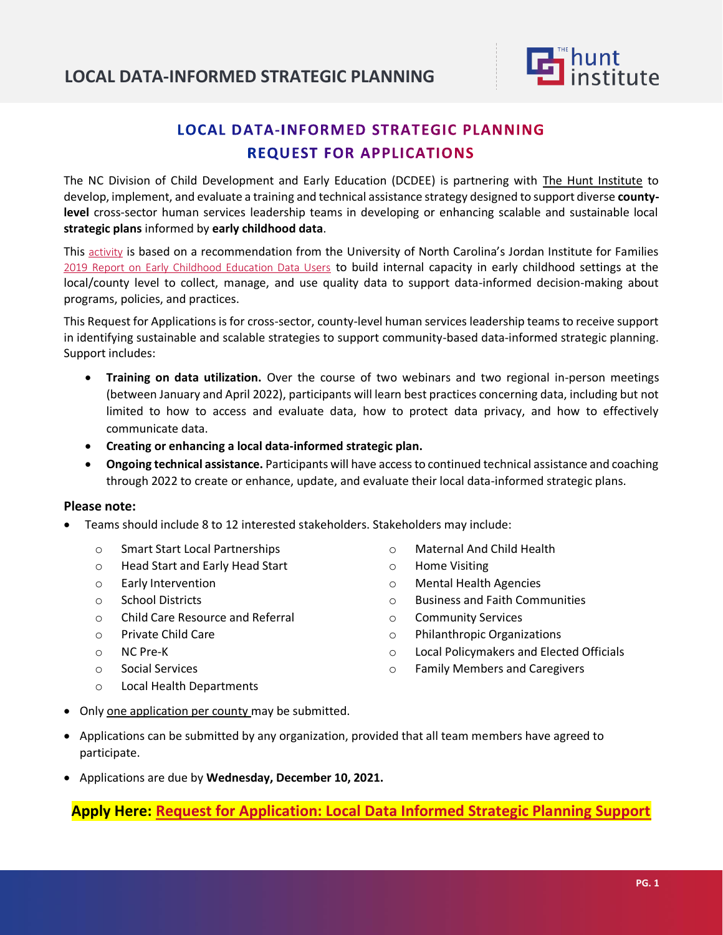

# **LOCAL DATA-INFORMED STRATEGIC PLANNING REQUEST FOR APPLICATIONS**

The NC Division of Child Development and Early Education (DCDEE) is partnering with [The Hunt Institute](https://hunt-institute.org/) to develop, implement, and evaluate a training and technical assistance strategy designed to support diverse **countylevel** cross-sector human services leadership teams in developing or enhancing scalable and sustainable local **strategic plans** informed by **early childhood data**.

This [activity](https://www.ncdhhs.gov/about/department-initiatives/early-childhood/preschool-development-grant) is based on a recommendation from the University of North Carolina's Jordan Institute for Families [2019 Report on Early Childhood Education Data Users](https://jordaninstituteforfamilies.org/wp-content/uploads/2019/09/PDG-Final-Report-Draft-Final.pdf) to build internal capacity in early childhood settings at the local/county level to collect, manage, and use quality data to support data-informed decision-making about programs, policies, and practices.

This Request for Applications is for cross-sector, county-level human services leadership teams to receive support in identifying sustainable and scalable strategies to support community-based data-informed strategic planning. Support includes:

- **Training on data utilization.** Over the course of two webinars and two regional in-person meetings (between January and April 2022), participants will learn best practices concerning data, including but not limited to how to access and evaluate data, how to protect data privacy, and how to effectively communicate data.
- **Creating or enhancing a local data-informed strategic plan.**
- **Ongoing technical assistance.** Participants will have access to continued technical assistance and coaching through 2022 to create or enhance, update, and evaluate their local data-informed strategic plans.

### **Please note:**

- Teams should include 8 to 12 interested stakeholders. Stakeholders may include:
	- o Smart Start Local Partnerships
	- o Head Start and Early Head Start
	- o Early Intervention
	- o School Districts
	- o Child Care Resource and Referral
	- o Private Child Care
	- o NC Pre-K
	- o Social Services
	- o Local Health Departments
- o Maternal And Child Health
- o Home Visiting
- o Mental Health Agencies
- o Business and Faith Communities
- o Community Services
- o Philanthropic Organizations
- o Local Policymakers and Elected Officials
- o Family Members and Caregivers
- Only one application per county may be submitted.
- Applications can be submitted by any organization, provided that all team members have agreed to participate.
- Applications are due by **Wednesday, December 10, 2021.**

### **Apply Here: [Request for Application: Local Data Informed Strategic Planning Support](https://duke.qualtrics.com/jfe/form/SV_37CBQe8j6pMX2Jw)**